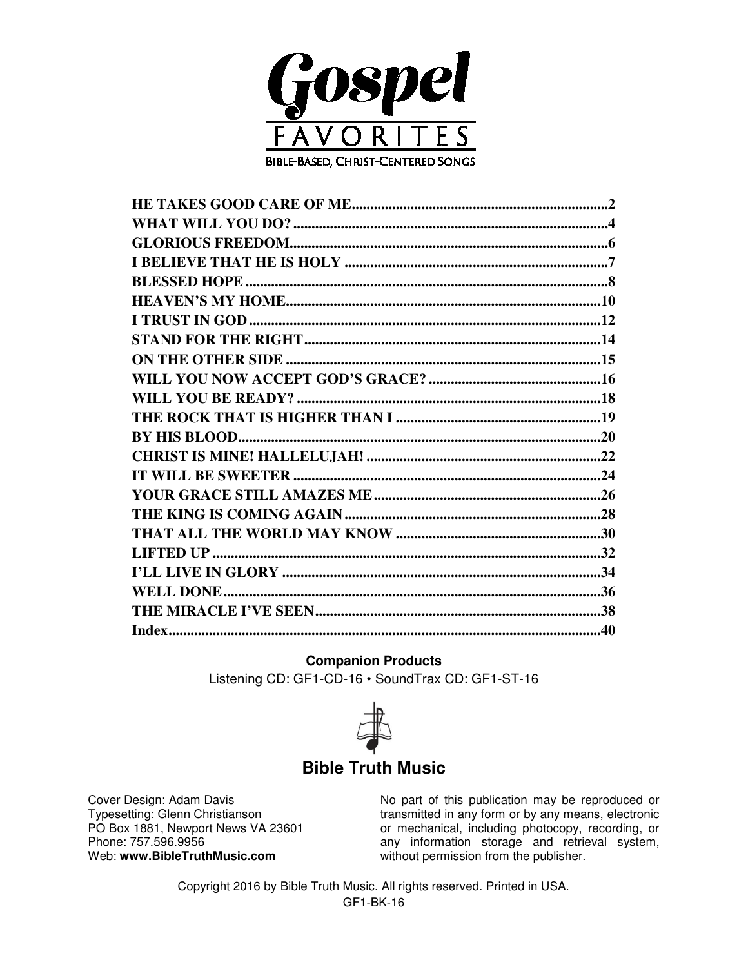

#### **Companion Products**

Listening CD: GF1-CD-16 · SoundTrax CD: GF1-ST-16



#### **Bible Truth Music**

Cover Design: Adam Davis Typesetting: Glenn Christianson PO Box 1881, Newport News VA 23601 Phone: 757.596.9956 Web: www.BibleTruthMusic.com

No part of this publication may be reproduced or transmitted in any form or by any means, electronic or mechanical, including photocopy, recording, or any information storage and retrieval system, without permission from the publisher.

Copyright 2016 by Bible Truth Music. All rights reserved. Printed in USA. GF1-BK-16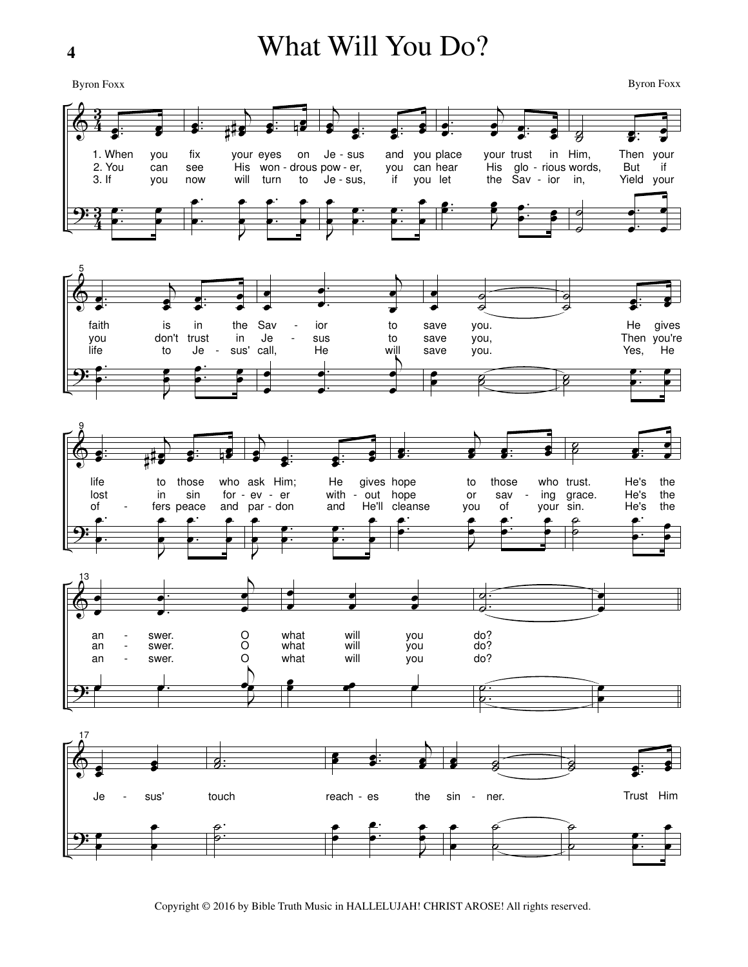### What Will You Do?

**Byron Foxx** 

**Byron Foxx** 



Copyright © 2016 by Bible Truth Music in HALLELUJAH! CHRIST AROSE! All rights reserved.

4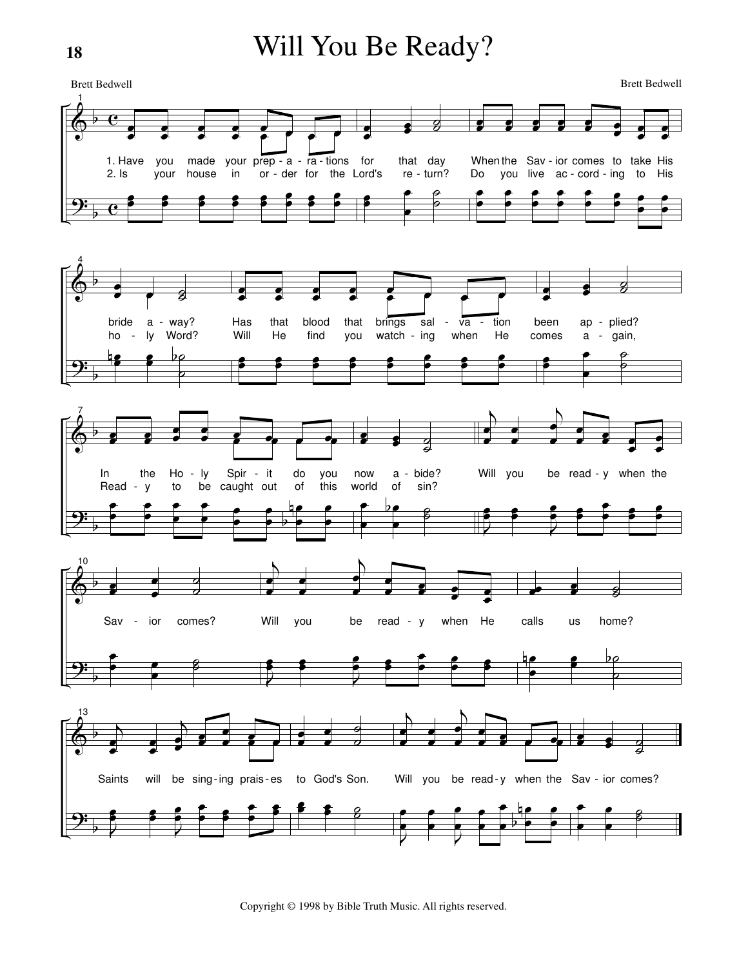## Will You Be Ready?

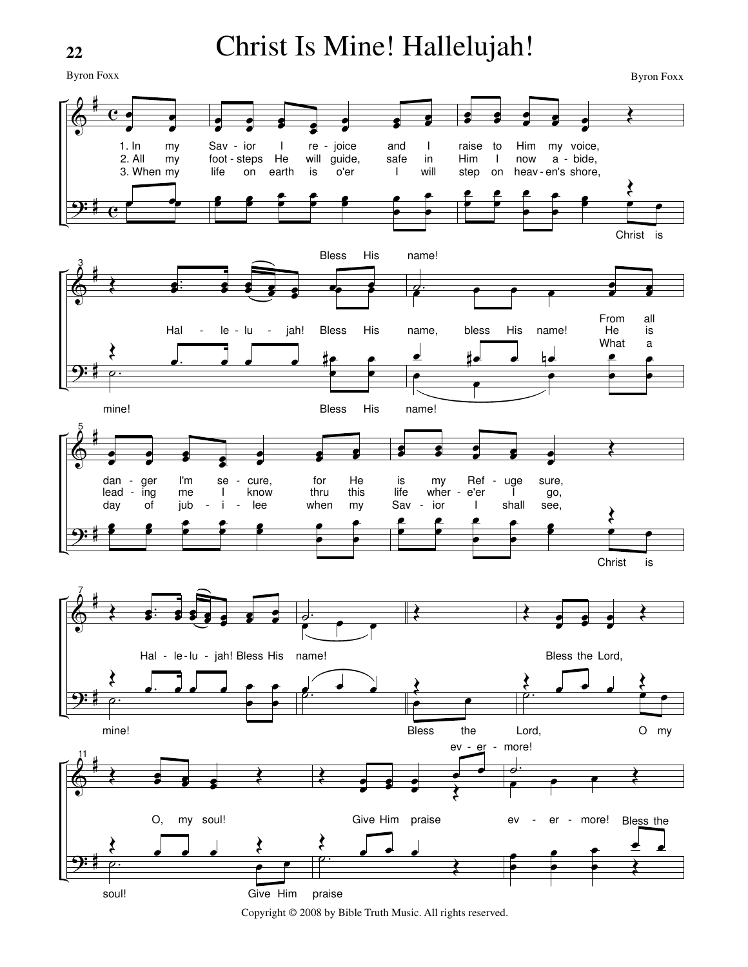# Christ Is Mine! Hallelujah!

Byron Foxx



Copyright © 2008 by Bible Truth Music. All rights reserved.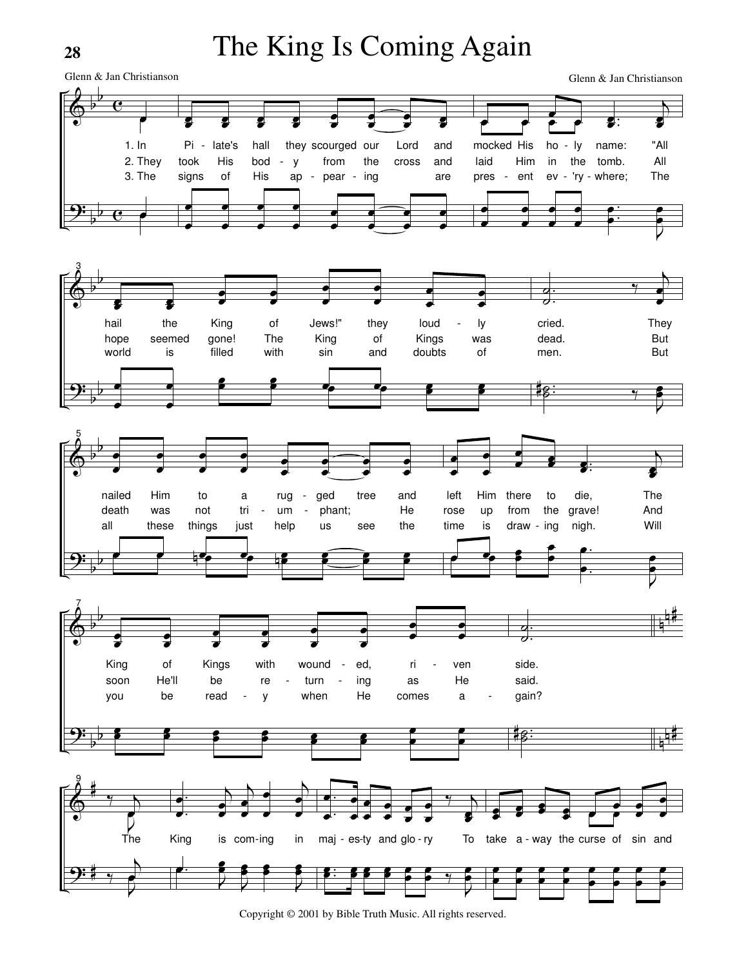# The King Is Coming Again

Glenn & Jan Christianson

Glenn & Jan Christianson



Copyright © 2001 by Bible Truth Music. All rights reserved.

28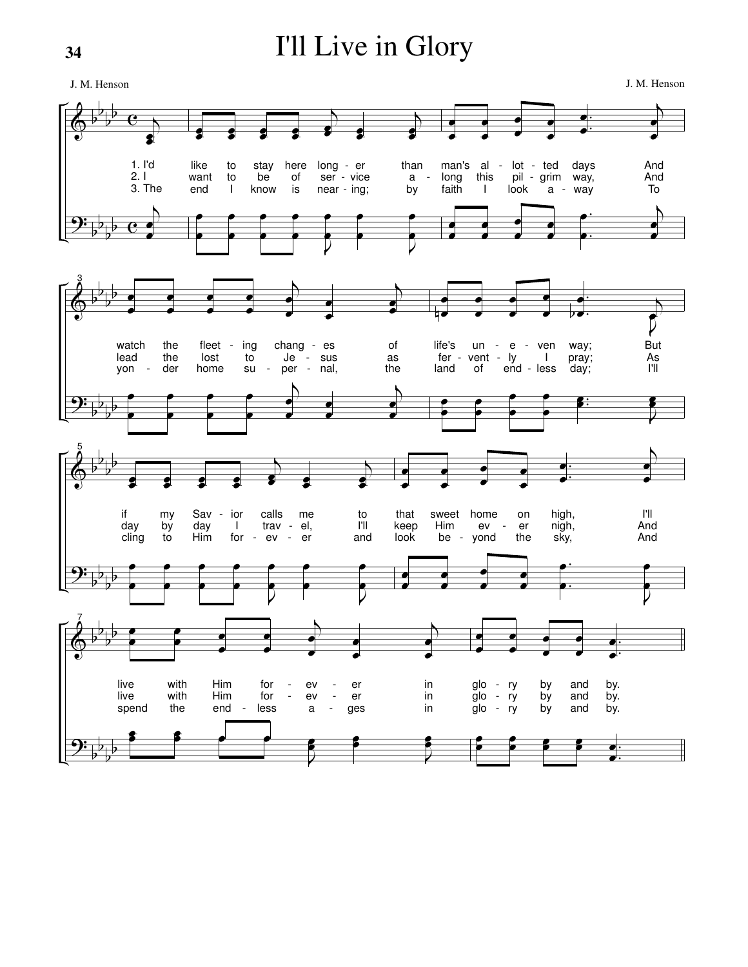# I'll Live in Glory

 $\pmb{\Diamond}$ <u>9:</u> b b b b b b b b  $\overline{\mathbf{e}}$  $\overline{e}$  $\overline{b}$ œ œ 1. I'd 2. I 3. The  $\overline{b}$ œ œ œ œ œ œ œ œ œ œ  $\overline{b}$ œ  $\cdot$   $\cdot$ œ  $\overline{b}$ œ œ like want end to to I stay be know here of is long - er ser - vice near - ing; than by a œ œ œ œ œ œ œ œ  $\overline{Q}$ œ œ œ œ J œ œ œ œ œ œ œ œ œ œ . . œ œ  $\overline{b}$ œ œ man's al - lot - ted long faith this I pil - grim way, look a - way days And And To œ œ œ œ œ œ œ œ . . œ œ  $\overline{b}$ œ œ  $\bm{\phi}$ <u>9:</u> b b b b b b b b 3 œ œ œ œ œ œ œ œ  $\overline{b}$ œ œ œ œ  $\overline{b}$ œ œ watch lead yon the the der fleet - ing lost home to su chang - es Je - sus per - nal, of as the œ œ œ œ œ œ œ œ  $\overline{b}$ œ œ œ œ  $\overline{a}$ œ œ œ म्<br>प œ œ œ œ œ œ . . œ  $\frac{1}{2}$  $\nabla$ œ  $\overline{b}$ life's fer - vent - ly land un - e - ven of end - less I way; pray; day; But As I'll œ œ œ œ œ œ œ œ . . œ œ J œ œ  $\pmb{\phi}$ <u>9:</u>  $\frac{1}{2}$ b b b b b b b 5 œ œ œ œ œ œ œ œ  $\overline{\mathcal{L}}$ œ  $\overrightarrow{ }$ œ  $\overline{b}$ œ œ if day cling my by to Sav day Him ior I for calls trav - el, ev me er to I'll and œ œ œ œ œ œ œ œ  $\nabla$ œ œ œ œ  $\nabla$ œ œ œ œ œ œ œ œ œ œ . . œ œ  $\overline{b}$ œ œ that keep look sweet Him be home ev yond on er the high, sky, nigh, I'll And And œ œ œ œ œ œ œ œ . . œ œ  $\bar{P}$ œ œ  $\pmb{\phi}$ <u>9:</u> b b b b b b b b 7 œ œ œ œ œ œ œ œ  $\overline{b}$ œ œ œ œ  $\overline{b}$ œ œ live live spend with with the Him Him end for  $-$ <br>for  $$ for less ev -  $\frac{ev}{a}$ . a er er ges in in in œ œ œ **s** J œ œ œ œ J œ œ œ œ œ œ œ œ œ œ . . œ œ glo glo glo ry ry ry by by by and and and by. by. by. œ œ œ œ œ œ œ  $\bullet$  . . œ œ J. M. Henson J. M. Henson